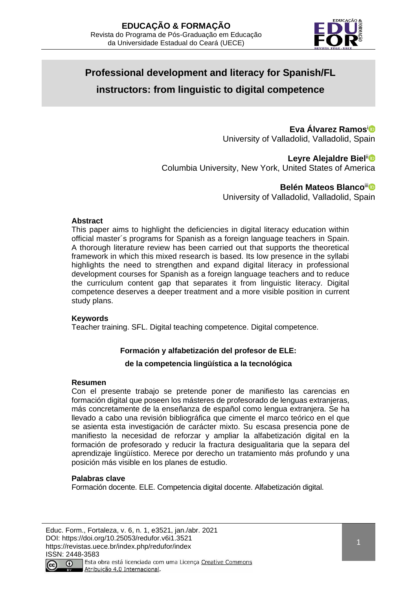

# **Professional development and literacy for Spanish/FL instructors: from linguistic to digital competence**

# **Eva Álvarez Ramos**<sup>i</sup>

University of Valladolid, Valladolid, Spain

## Leyre Alejaldre Biel<sup>iin</sup>

Columbia University, New York, United States of America

## **Belén Mateos Blanco<sup>ii</sup><sup>®</sup>**

University of Valladolid, Valladolid, Spain

### **Abstract**

This paper aims to highlight the deficiencies in digital literacy education within official master´s programs for Spanish as a foreign language teachers in Spain. A thorough literature review has been carried out that supports the theoretical framework in which this mixed research is based. Its low presence in the syllabi highlights the need to strengthen and expand digital literacy in professional development courses for Spanish as a foreign language teachers and to reduce the curriculum content gap that separates it from linguistic literacy. Digital competence deserves a deeper treatment and a more visible position in current study plans.

#### **Keywords**

Teacher training. SFL. Digital teaching competence. Digital competence.

## **Formación y alfabetización del profesor de ELE:**

## **de la competencia lingüística a la tecnológica**

#### **Resumen**

Con el presente trabajo se pretende poner de manifiesto las carencias en formación digital que poseen los másteres de profesorado de lenguas extranjeras, más concretamente de la enseñanza de español como lengua extranjera. Se ha llevado a cabo una revisión bibliográfica que cimente el marco teórico en el que se asienta esta investigación de carácter mixto. Su escasa presencia pone de manifiesto la necesidad de reforzar y ampliar la alfabetización digital en la formación de profesorado y reducir la fractura desigualitaria que la separa del aprendizaje lingüístico. Merece por derecho un tratamiento más profundo y una posición más visible en los planes de estudio.

## **Palabras clave**

Formación docente. ELE. Competencia digital docente. Alfabetización digital.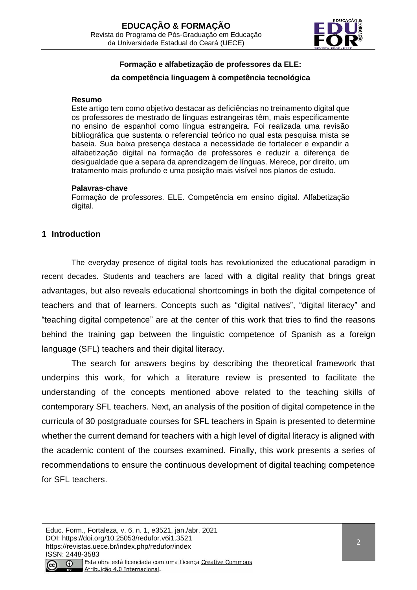

# **Formação e alfabetização de professores da ELE:**

### **da competência linguagem à competência tecnológica**

#### **Resumo**

Este artigo tem como objetivo destacar as deficiências no treinamento digital que os professores de mestrado de línguas estrangeiras têm, mais especificamente no ensino de espanhol como língua estrangeira. Foi realizada uma revisão bibliográfica que sustenta o referencial teórico no qual esta pesquisa mista se baseia. Sua baixa presença destaca a necessidade de fortalecer e expandir a alfabetização digital na formação de professores e reduzir a diferença de desigualdade que a separa da aprendizagem de línguas. Merece, por direito, um tratamento mais profundo e uma posição mais visível nos planos de estudo.

#### **Palavras-chave**

Formação de professores. ELE. Competência em ensino digital. Alfabetização digital.

## **1 Introduction**

The everyday presence of digital tools has revolutionized the educational paradigm in recent decades. Students and teachers are faced with a digital reality that brings great advantages, but also reveals educational shortcomings in both the digital competence of teachers and that of learners. Concepts such as "digital natives", "digital literacy" and "teaching digital competence" are at the center of this work that tries to find the reasons behind the training gap between the linguistic competence of Spanish as a foreign language (SFL) teachers and their digital literacy.

The search for answers begins by describing the theoretical framework that underpins this work, for which a literature review is presented to facilitate the understanding of the concepts mentioned above related to the teaching skills of contemporary SFL teachers. Next, an analysis of the position of digital competence in the curricula of 30 postgraduate courses for SFL teachers in Spain is presented to determine whether the current demand for teachers with a high level of digital literacy is aligned with the academic content of the courses examined. Finally, this work presents a series of recommendations to ensure the continuous development of digital teaching competence for SFL teachers.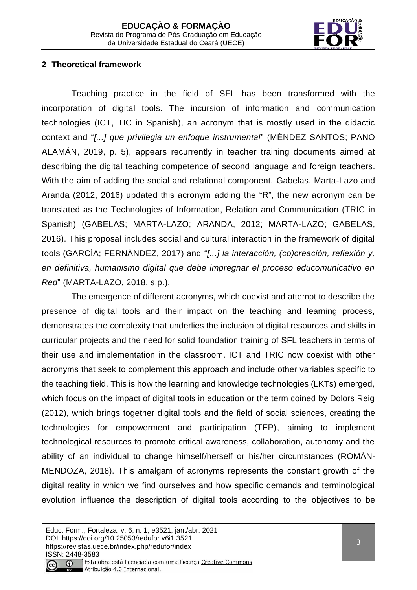

# **2 Theoretical framework**

Teaching practice in the field of SFL has been transformed with the incorporation of digital tools. The incursion of information and communication technologies (ICT, TIC in Spanish), an acronym that is mostly used in the didactic context and "*[...] que privilegia un enfoque instrumental*" (MÉNDEZ SANTOS; PANO ALAMÁN, 2019, p. 5), appears recurrently in teacher training documents aimed at describing the digital teaching competence of second language and foreign teachers. With the aim of adding the social and relational component, Gabelas, Marta-Lazo and Aranda (2012, 2016) updated this acronym adding the "R", the new acronym can be translated as the Technologies of Information, Relation and Communication (TRIC in Spanish) (GABELAS; MARTA-LAZO; ARANDA, 2012; MARTA-LAZO; GABELAS, 2016). This proposal includes social and cultural interaction in the framework of digital tools (GARCÍA; FERNÁNDEZ, 2017) and "*[...] la interacción, (co)creación, reflexión y, en definitiva, humanismo digital que debe impregnar el proceso educomunicativo en Red*" (MARTA-LAZO, 2018, s.p.).

The emergence of different acronyms, which coexist and attempt to describe the presence of digital tools and their impact on the teaching and learning process, demonstrates the complexity that underlies the inclusion of digital resources and skills in curricular projects and the need for solid foundation training of SFL teachers in terms of their use and implementation in the classroom. ICT and TRIC now coexist with other acronyms that seek to complement this approach and include other variables specific to the teaching field. This is how the learning and knowledge technologies (LKTs) emerged, which focus on the impact of digital tools in education or the term coined by Dolors Reig (2012), which brings together digital tools and the field of social sciences, creating the technologies for empowerment and participation (TEP), aiming to implement technological resources to promote critical awareness, collaboration, autonomy and the ability of an individual to change himself/herself or his/her circumstances (ROMÁN-MENDOZA, 2018). This amalgam of acronyms represents the constant growth of the digital reality in which we find ourselves and how specific demands and terminological evolution influence the description of digital tools according to the objectives to be

Atribuição 4.0 Internacional.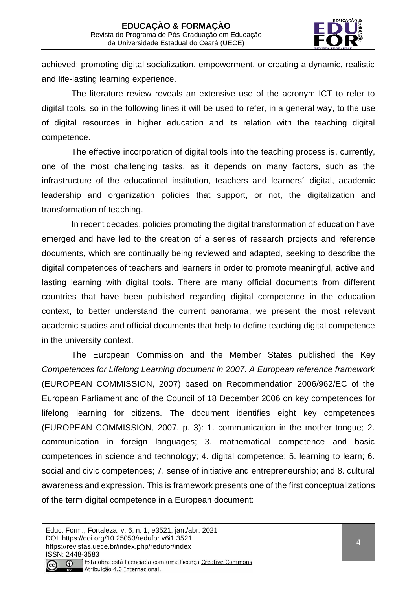

achieved: promoting digital socialization, empowerment, or creating a dynamic, realistic and life-lasting learning experience.

The literature review reveals an extensive use of the acronym ICT to refer to digital tools, so in the following lines it will be used to refer, in a general way, to the use of digital resources in higher education and its relation with the teaching digital competence.

The effective incorporation of digital tools into the teaching process is, currently, one of the most challenging tasks, as it depends on many factors, such as the infrastructure of the educational institution, teachers and learners´ digital, academic leadership and organization policies that support, or not, the digitalization and transformation of teaching.

In recent decades, policies promoting the digital transformation of education have emerged and have led to the creation of a series of research projects and reference documents, which are continually being reviewed and adapted, seeking to describe the digital competences of teachers and learners in order to promote meaningful, active and lasting learning with digital tools. There are many official documents from different countries that have been published regarding digital competence in the education context, to better understand the current panorama, we present the most relevant academic studies and official documents that help to define teaching digital competence in the university context.

The European Commission and the Member States published the Key *Competences for Lifelong Learning document in 2007. A European reference framework* (EUROPEAN COMMISSION, 2007) based on Recommendation 2006/962/EC of the European Parliament and of the Council of 18 December 2006 on key competences for lifelong learning for citizens. The document identifies eight key competences (EUROPEAN COMMISSION, 2007, p. 3): 1. communication in the mother tongue; 2. communication in foreign languages; 3. mathematical competence and basic competences in science and technology; 4. digital competence; 5. learning to learn; 6. social and civic competences; 7. sense of initiative and entrepreneurship; and 8. cultural awareness and expression. This is framework presents one of the first conceptualizations of the term digital competence in a European document: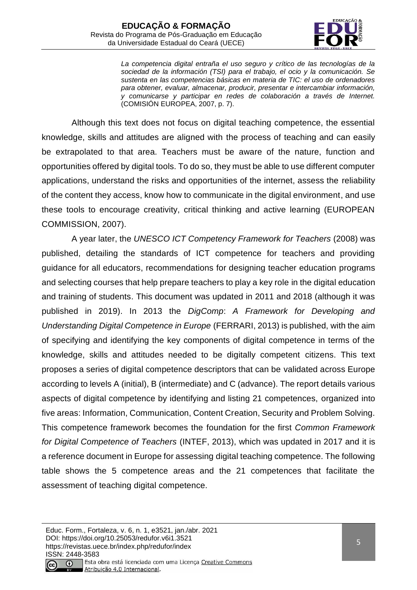

*La competencia digital entraña el uso seguro y crítico de las tecnologías de la sociedad de la información (TSI) para el trabajo, el ocio y la comunicación. Se sustenta en las competencias básicas en materia de TIC: el uso de ordenadores para obtener, evaluar, almacenar, producir, presentar e intercambiar información, y comunicarse y participar en redes de colaboración a través de Internet.* (COMISIÓN EUROPEA, 2007, p. 7).

Although this text does not focus on digital teaching competence, the essential knowledge, skills and attitudes are aligned with the process of teaching and can easily be extrapolated to that area. Teachers must be aware of the nature, function and opportunities offered by digital tools. To do so, they must be able to use different computer applications, understand the risks and opportunities of the internet, assess the reliability of the content they access, know how to communicate in the digital environment, and use these tools to encourage creativity, critical thinking and active learning (EUROPEAN COMMISSION, 2007).

A year later, the *UNESCO ICT Competency Framework for Teachers* (2008) was published, detailing the standards of ICT competence for teachers and providing guidance for all educators, recommendations for designing teacher education programs and selecting courses that help prepare teachers to play a key role in the digital education and training of students. This document was updated in 2011 and 2018 (although it was published in 2019). In 2013 the *DigComp*: *A Framework for Developing and Understanding Digital Competence in Europe* (FERRARI, 2013) is published, with the aim of specifying and identifying the key components of digital competence in terms of the knowledge, skills and attitudes needed to be digitally competent citizens. This text proposes a series of digital competence descriptors that can be validated across Europe according to levels A (initial), B (intermediate) and C (advance). The report details various aspects of digital competence by identifying and listing 21 competences, organized into five areas: Information, Communication, Content Creation, Security and Problem Solving. This competence framework becomes the foundation for the first *Common Framework for Digital Competence of Teachers* (INTEF, 2013), which was updated in 2017 and it is a reference document in Europe for assessing digital teaching competence. The following table shows the 5 competence areas and the 21 competences that facilitate the assessment of teaching digital competence.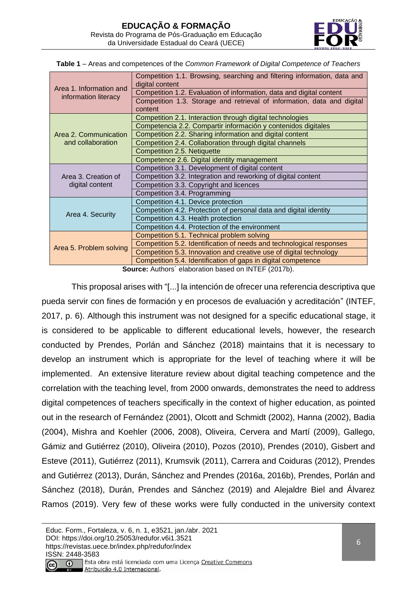

|  |  | Table 1 - Areas and competences of the Common Framework of Digital Competence of Teachers |  |  |  |  |  |  |
|--|--|-------------------------------------------------------------------------------------------|--|--|--|--|--|--|
|--|--|-------------------------------------------------------------------------------------------|--|--|--|--|--|--|

|                                                 | Competition 1.1. Browsing, searching and filtering information, data and<br>digital content |  |  |  |
|-------------------------------------------------|---------------------------------------------------------------------------------------------|--|--|--|
| Area 1. Information and<br>information literacy | Competition 1.2. Evaluation of information, data and digital content                        |  |  |  |
|                                                 | Competition 1.3. Storage and retrieval of information, data and digital                     |  |  |  |
|                                                 | content                                                                                     |  |  |  |
|                                                 | Competition 2.1. Interaction through digital technologies                                   |  |  |  |
|                                                 | Competencia 2.2. Compartir información y contenidos digitales                               |  |  |  |
| Area 2. Communication                           | Competition 2.2. Sharing information and digital content                                    |  |  |  |
| and collaboration                               | Competition 2.4. Collaboration through digital channels                                     |  |  |  |
|                                                 | Competition 2.5. Netiquette                                                                 |  |  |  |
|                                                 | Competence 2.6. Digital identity management                                                 |  |  |  |
|                                                 | Competition 3.1. Development of digital content                                             |  |  |  |
| Area 3. Creation of                             | Competition 3.2. Integration and reworking of digital content                               |  |  |  |
| digital content                                 | Competition 3.3. Copyright and licences                                                     |  |  |  |
|                                                 | Competition 3.4. Programming                                                                |  |  |  |
|                                                 | Competition 4.1. Device protection                                                          |  |  |  |
|                                                 | Competition 4.2. Protection of personal data and digital identity                           |  |  |  |
| Area 4. Security                                | Competition 4.3. Health protection                                                          |  |  |  |
|                                                 | Competition 4.4. Protection of the environment                                              |  |  |  |
|                                                 | Competition 5.1. Technical problem solving                                                  |  |  |  |
|                                                 | Competition 5.2. Identification of needs and technological responses                        |  |  |  |
| Area 5. Problem solving                         | Competition 5.3. Innovation and creative use of digital technology                          |  |  |  |
|                                                 | Competition 5.4. Identification of gaps in digital competence                               |  |  |  |
|                                                 | <b>Source:</b> Authors' elaboration based on INTEF (2017b).                                 |  |  |  |

**Source:** Authors´ elaboration based on INTEF (2017b).

This proposal arises with "[...] la intención de ofrecer una referencia descriptiva que pueda servir con fines de formación y en procesos de evaluación y acreditación" (INTEF, 2017, p. 6). Although this instrument was not designed for a specific educational stage, it is considered to be applicable to different educational levels, however, the research conducted by Prendes, Porlán and Sánchez (2018) maintains that it is necessary to develop an instrument which is appropriate for the level of teaching where it will be implemented. An extensive literature review about digital teaching competence and the correlation with the teaching level, from 2000 onwards, demonstrates the need to address digital competences of teachers specifically in the context of higher education, as pointed out in the research of Fernández (2001), Olcott and Schmidt (2002), Hanna (2002), Badia (2004), Mishra and Koehler (2006, 2008), Oliveira, Cervera and Martí (2009), Gallego, Gámiz and Gutiérrez (2010), Oliveira (2010), Pozos (2010), Prendes (2010), Gisbert and Esteve (2011), Gutiérrez (2011), Krumsvik (2011), Carrera and Coiduras (2012), Prendes and Gutiérrez (2013), Durán, Sánchez and Prendes (2016a, 2016b), Prendes, Porlán and Sánchez (2018), Durán, Prendes and Sánchez (2019) and Alejaldre Biel and Álvarez Ramos (2019). Very few of these works were fully conducted in the university context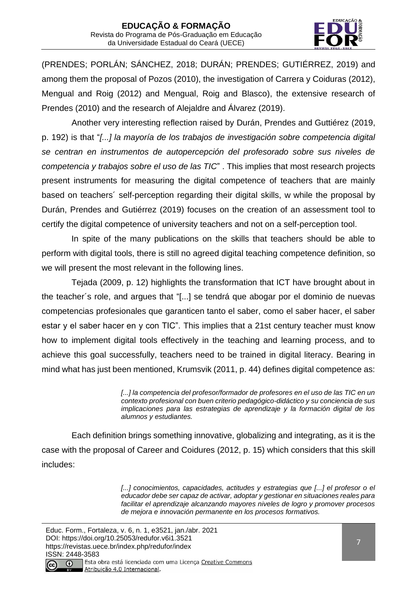

(PRENDES; PORLÁN; SÁNCHEZ, 2018; DURÁN; PRENDES; GUTIÉRREZ, 2019) and among them the proposal of Pozos (2010), the investigation of Carrera y Coiduras (2012), Mengual and Roig (2012) and Mengual, Roig and Blasco), the extensive research of Prendes (2010) and the research of Alejaldre and Álvarez (2019).

Another very interesting reflection raised by Durán, Prendes and Guttiérez (2019, p. 192) is that "*[...] la mayoría de los trabajos de investigación sobre competencia digital se centran en instrumentos de autopercepción del profesorado sobre sus niveles de competencia y trabajos sobre el uso de las TIC*" . This implies that most research projects present instruments for measuring the digital competence of teachers that are mainly based on teachers´ self-perception regarding their digital skills, w while the proposal by Durán, Prendes and Gutiérrez (2019) focuses on the creation of an assessment tool to certify the digital competence of university teachers and not on a self-perception tool.

In spite of the many publications on the skills that teachers should be able to perform with digital tools, there is still no agreed digital teaching competence definition, so we will present the most relevant in the following lines.

Tejada (2009, p. 12) highlights the transformation that ICT have brought about in the teacher´s role, and argues that "[...] se tendrá que abogar por el dominio de nuevas competencias profesionales que garanticen tanto el saber, como el saber hacer, el saber estar y el saber hacer en y con TIC". This implies that a 21st century teacher must know how to implement digital tools effectively in the teaching and learning process, and to achieve this goal successfully, teachers need to be trained in digital literacy. Bearing in mind what has just been mentioned, Krumsvik (2011, p. 44) defines digital competence as:

> [...] la competencia del profesor/formador de profesores en el uso de las TIC en un *contexto profesional con buen criterio pedagógico-didáctico y su conciencia de sus implicaciones para las estrategias de aprendizaje y la formación digital de los alumnos y estudiantes.*

Each definition brings something innovative, globalizing and integrating, as it is the case with the proposal of Career and Coidures (2012, p. 15) which considers that this skill includes:

> [...] conocimientos, capacidades, actitudes y estrategias que [...] el profesor o el *educador debe ser capaz de activar, adoptar y gestionar en situaciones reales para facilitar el aprendizaje alcanzando mayores niveles de logro y promover procesos de mejora e innovación permanente en los procesos formativos.*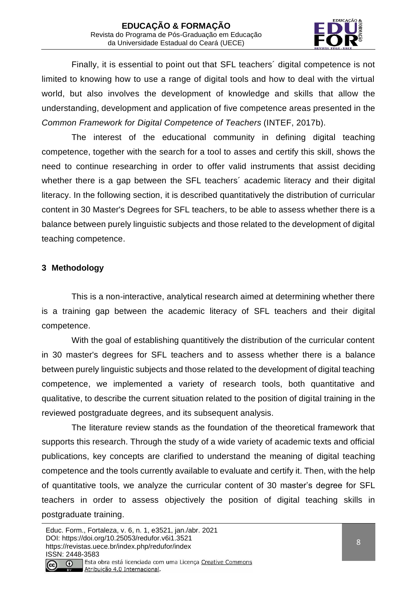

Finally, it is essential to point out that SFL teachers´ digital competence is not limited to knowing how to use a range of digital tools and how to deal with the virtual world, but also involves the development of knowledge and skills that allow the understanding, development and application of five competence areas presented in the *Common Framework for Digital Competence of Teachers* (INTEF, 2017b).

The interest of the educational community in defining digital teaching competence, together with the search for a tool to asses and certify this skill, shows the need to continue researching in order to offer valid instruments that assist deciding whether there is a gap between the SFL teachers' academic literacy and their digital literacy. In the following section, it is described quantitatively the distribution of curricular content in 30 Master's Degrees for SFL teachers, to be able to assess whether there is a balance between purely linguistic subjects and those related to the development of digital teaching competence.

# **3 Methodology**

This is a non-interactive, analytical research aimed at determining whether there is a training gap between the academic literacy of SFL teachers and their digital competence.

With the goal of establishing quantitively the distribution of the curricular content in 30 master's degrees for SFL teachers and to assess whether there is a balance between purely linguistic subjects and those related to the development of digital teaching competence, we implemented a variety of research tools, both quantitative and qualitative, to describe the current situation related to the position of digital training in the reviewed postgraduate degrees, and its subsequent analysis.

The literature review stands as the foundation of the theoretical framework that supports this research. Through the study of a wide variety of academic texts and official publications, key concepts are clarified to understand the meaning of digital teaching competence and the tools currently available to evaluate and certify it. Then, with the help of quantitative tools, we analyze the curricular content of 30 master's degree for SFL teachers in order to assess objectively the position of digital teaching skills in postgraduate training.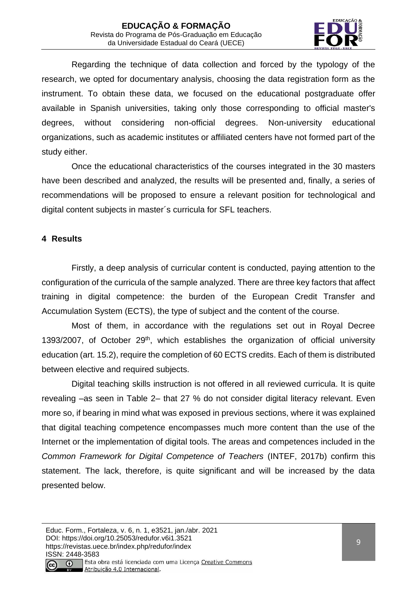

Regarding the technique of data collection and forced by the typology of the research, we opted for documentary analysis, choosing the data registration form as the instrument. To obtain these data, we focused on the educational postgraduate offer available in Spanish universities, taking only those corresponding to official master's degrees, without considering non-official degrees. Non-university educational organizations, such as academic institutes or affiliated centers have not formed part of the study either.

Once the educational characteristics of the courses integrated in the 30 masters have been described and analyzed, the results will be presented and, finally, a series of recommendations will be proposed to ensure a relevant position for technological and digital content subjects in master´s curricula for SFL teachers.

# **4 Results**

Firstly, a deep analysis of curricular content is conducted, paying attention to the configuration of the curricula of the sample analyzed. There are three key factors that affect training in digital competence: the burden of the European Credit Transfer and Accumulation System (ECTS), the type of subject and the content of the course.

Most of them, in accordance with the regulations set out in Royal Decree 1393/2007, of October  $29<sup>th</sup>$ , which establishes the organization of official university education (art. 15.2), require the completion of 60 ECTS credits. Each of them is distributed between elective and required subjects.

Digital teaching skills instruction is not offered in all reviewed curricula. It is quite revealing –as seen in Table 2– that 27 % do not consider digital literacy relevant. Even more so, if bearing in mind what was exposed in previous sections, where it was explained that digital teaching competence encompasses much more content than the use of the Internet or the implementation of digital tools. The areas and competences included in the *Common Framework for Digital Competence of Teachers* (INTEF, 2017b) confirm this statement. The lack, therefore, is quite significant and will be increased by the data presented below.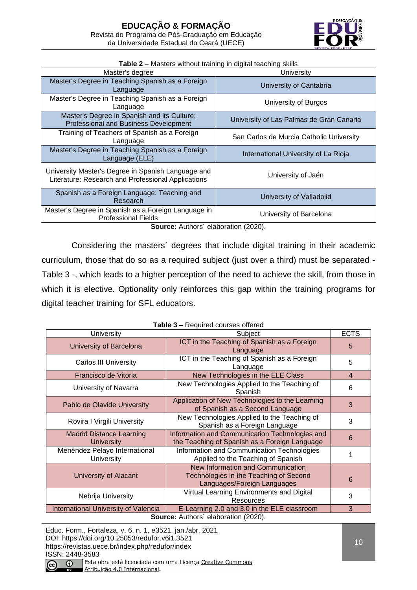

| Master's degree                                                                                          | University                               |
|----------------------------------------------------------------------------------------------------------|------------------------------------------|
| Master's Degree in Teaching Spanish as a Foreign<br>Language                                             | University of Cantabria                  |
| Master's Degree in Teaching Spanish as a Foreign<br>Language                                             | University of Burgos                     |
| Master's Degree in Spanish and its Culture:<br><b>Professional and Business Development</b>              | University of Las Palmas de Gran Canaria |
| Training of Teachers of Spanish as a Foreign<br>Language                                                 | San Carlos de Murcia Catholic University |
| Master's Degree in Teaching Spanish as a Foreign<br>Language (ELE)                                       | International University of La Rioja     |
| University Master's Degree in Spanish Language and<br>Literature: Research and Professional Applications | University of Jaén                       |
| Spanish as a Foreign Language: Teaching and<br>Research                                                  | University of Valladolid                 |
| Master's Degree in Spanish as a Foreign Language in<br><b>Professional Fields</b>                        | University of Barcelona                  |

#### **Table 2** – Masters without training in digital teaching skills

Source: Authors' elaboration (2020).

Considering the masters´ degrees that include digital training in their academic curriculum, those that do so as a required subject (just over a third) must be separated - Table 3 -, which leads to a higher perception of the need to achieve the skill, from those in which it is elective. Optionality only reinforces this gap within the training programs for digital teacher training for SFL educators.

| <b>Table 3</b> – Required courses offered            |                                                                                                            |             |  |  |  |
|------------------------------------------------------|------------------------------------------------------------------------------------------------------------|-------------|--|--|--|
| University                                           | Subject                                                                                                    | <b>ECTS</b> |  |  |  |
| University of Barcelona                              | ICT in the Teaching of Spanish as a Foreign<br>Language                                                    | 5           |  |  |  |
| <b>Carlos III University</b>                         | ICT in the Teaching of Spanish as a Foreign<br>Language                                                    | 5           |  |  |  |
| Francisco de Vitoria                                 | New Technologies in the ELE Class                                                                          | 4           |  |  |  |
| University of Navarra                                | New Technologies Applied to the Teaching of<br>Spanish                                                     | 6           |  |  |  |
| Pablo de Olavide University                          | Application of New Technologies to the Learning<br>of Spanish as a Second Language                         | 3           |  |  |  |
| Rovira I Virgili University                          | New Technologies Applied to the Teaching of<br>Spanish as a Foreign Language                               | 3           |  |  |  |
| <b>Madrid Distance Learning</b><br><b>University</b> | Information and Communication Technologies and<br>the Teaching of Spanish as a Foreign Language            | 6           |  |  |  |
| Menéndez Pelayo International<br><b>University</b>   | Information and Communication Technologies<br>Applied to the Teaching of Spanish                           |             |  |  |  |
| University of Alacant                                | New Information and Communication<br>Technologies in the Teaching of Second<br>Languages/Foreign Languages | 6           |  |  |  |
| Nebrija University                                   | Virtual Learning Environments and Digital<br><b>Resources</b>                                              | 3           |  |  |  |
| <b>International University of Valencia</b>          | E-Learning 2.0 and 3.0 in the ELE classroom                                                                | 3           |  |  |  |
| Source: Authors' elaboration (2020).                 |                                                                                                            |             |  |  |  |

**Table 3** – Required courses offered

Educ. Form., Fortaleza, v. 6, n. 1, e3521, jan./abr. 2021 DOI: https://doi.org/10.25053/redufor.v6i1.3521 https://revistas.uece.br/index.php/redufor/index ISSN: 2448-3583  $\odot$ Esta obra está licenciada com uma Licença Creative Commons

Atribuição 4.0 Internacional.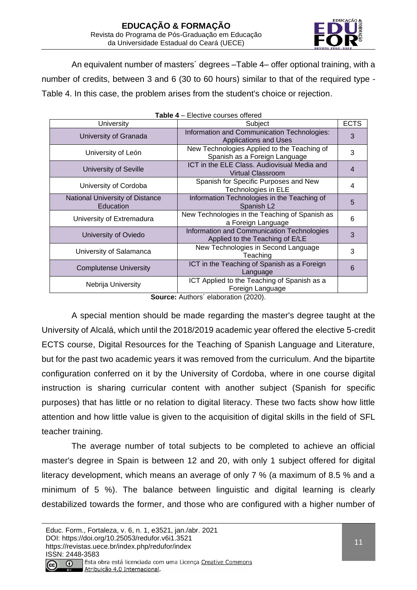

An equivalent number of masters´ degrees –Table 4– offer optional training, with a number of credits, between 3 and 6 (30 to 60 hours) similar to that of the required type - Table 4. In this case, the problem arises from the student's choice or rejection.

| <b>Table 4</b> – Elective courses offered    |                                                                               |   |  |  |  |
|----------------------------------------------|-------------------------------------------------------------------------------|---|--|--|--|
| University                                   | Subject                                                                       |   |  |  |  |
| University of Granada                        | Information and Communication Technologies:<br><b>Applications and Uses</b>   | 3 |  |  |  |
| University of León                           | New Technologies Applied to the Teaching of<br>Spanish as a Foreign Language  | 3 |  |  |  |
| <b>University of Seville</b>                 | ICT in the ELE Class. Audiovisual Media and<br><b>Virtual Classroom</b>       | 4 |  |  |  |
| University of Cordoba                        | Spanish for Specific Purposes and New<br>Technologies in ELE                  | 4 |  |  |  |
| National University of Distance<br>Education | Information Technologies in the Teaching of<br>Spanish L <sub>2</sub>         | 5 |  |  |  |
| University of Extremadura                    | New Technologies in the Teaching of Spanish as<br>a Foreign Language          | 6 |  |  |  |
| University of Oviedo                         | Information and Communication Technologies<br>Applied to the Teaching of E/LE | 3 |  |  |  |
| University of Salamanca                      | New Technologies in Second Language<br>Teaching                               | 3 |  |  |  |
| <b>Complutense University</b>                | ICT in the Teaching of Spanish as a Foreign<br>Language                       | 6 |  |  |  |
| Nebrija University                           | ICT Applied to the Teaching of Spanish as a<br>Foreign Language               |   |  |  |  |

**Source:** Authors´ elaboration (2020).

A special mention should be made regarding the master's degree taught at the University of Alcalá, which until the 2018/2019 academic year offered the elective 5-credit ECTS course, Digital Resources for the Teaching of Spanish Language and Literature, but for the past two academic years it was removed from the curriculum. And the bipartite configuration conferred on it by the University of Cordoba, where in one course digital instruction is sharing curricular content with another subject (Spanish for specific purposes) that has little or no relation to digital literacy. These two facts show how little attention and how little value is given to the acquisition of digital skills in the field of SFL teacher training.

The average number of total subjects to be completed to achieve an official master's degree in Spain is between 12 and 20, with only 1 subject offered for digital literacy development, which means an average of only 7 % (a maximum of 8.5 % and a minimum of 5 %). The balance between linguistic and digital learning is clearly destabilized towards the former, and those who are configured with a higher number of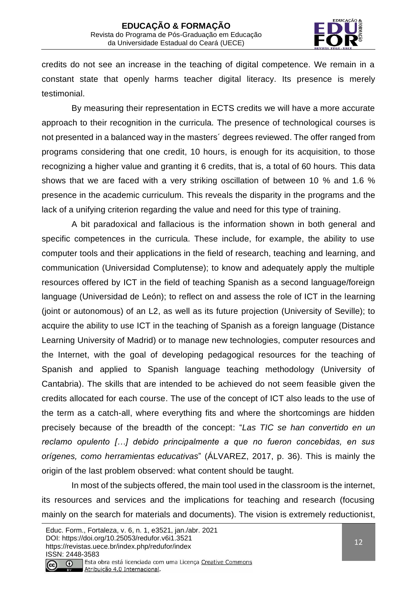

credits do not see an increase in the teaching of digital competence. We remain in a constant state that openly harms teacher digital literacy. Its presence is merely testimonial.

By measuring their representation in ECTS credits we will have a more accurate approach to their recognition in the curricula. The presence of technological courses is not presented in a balanced way in the masters´ degrees reviewed. The offer ranged from programs considering that one credit, 10 hours, is enough for its acquisition, to those recognizing a higher value and granting it 6 credits, that is, a total of 60 hours. This data shows that we are faced with a very striking oscillation of between 10 % and 1.6 % presence in the academic curriculum. This reveals the disparity in the programs and the lack of a unifying criterion regarding the value and need for this type of training.

A bit paradoxical and fallacious is the information shown in both general and specific competences in the curricula. These include, for example, the ability to use computer tools and their applications in the field of research, teaching and learning, and communication (Universidad Complutense); to know and adequately apply the multiple resources offered by ICT in the field of teaching Spanish as a second language/foreign language (Universidad de León); to reflect on and assess the role of ICT in the learning (joint or autonomous) of an L2, as well as its future projection (University of Seville); to acquire the ability to use ICT in the teaching of Spanish as a foreign language (Distance Learning University of Madrid) or to manage new technologies, computer resources and the Internet, with the goal of developing pedagogical resources for the teaching of Spanish and applied to Spanish language teaching methodology (University of Cantabria). The skills that are intended to be achieved do not seem feasible given the credits allocated for each course. The use of the concept of ICT also leads to the use of the term as a catch-all, where everything fits and where the shortcomings are hidden precisely because of the breadth of the concept: "*Las TIC se han convertido en un reclamo opulento […] debido principalmente a que no fueron concebidas, en sus orígenes, como herramientas educativas*" (ÁLVAREZ, 2017, p. 36). This is mainly the origin of the last problem observed: what content should be taught.

In most of the subjects offered, the main tool used in the classroom is the internet, its resources and services and the implications for teaching and research (focusing mainly on the search for materials and documents). The vision is extremely reductionist,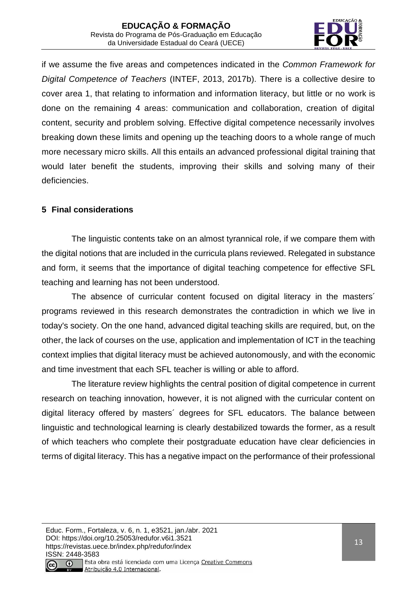

if we assume the five areas and competences indicated in the *Common Framework for Digital Competence of Teachers* (INTEF, 2013, 2017b). There is a collective desire to cover area 1, that relating to information and information literacy, but little or no work is done on the remaining 4 areas: communication and collaboration, creation of digital content, security and problem solving. Effective digital competence necessarily involves breaking down these limits and opening up the teaching doors to a whole range of much more necessary micro skills. All this entails an advanced professional digital training that would later benefit the students, improving their skills and solving many of their deficiencies.

# **5 Final considerations**

The linguistic contents take on an almost tyrannical role, if we compare them with the digital notions that are included in the curricula plans reviewed. Relegated in substance and form, it seems that the importance of digital teaching competence for effective SFL teaching and learning has not been understood.

The absence of curricular content focused on digital literacy in the masters´ programs reviewed in this research demonstrates the contradiction in which we live in today's society. On the one hand, advanced digital teaching skills are required, but, on the other, the lack of courses on the use, application and implementation of ICT in the teaching context implies that digital literacy must be achieved autonomously, and with the economic and time investment that each SFL teacher is willing or able to afford.

The literature review highlights the central position of digital competence in current research on teaching innovation, however, it is not aligned with the curricular content on digital literacy offered by masters´ degrees for SFL educators. The balance between linguistic and technological learning is clearly destabilized towards the former, as a result of which teachers who complete their postgraduate education have clear deficiencies in terms of digital literacy. This has a negative impact on the performance of their professional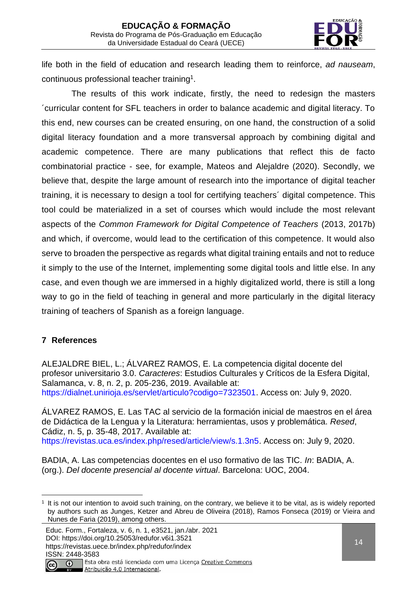

life both in the field of education and research leading them to reinforce, *ad nauseam*, continuous professional teacher training<sup>1</sup> .

The results of this work indicate, firstly, the need to redesign the masters ´curricular content for SFL teachers in order to balance academic and digital literacy. To this end, new courses can be created ensuring, on one hand, the construction of a solid digital literacy foundation and a more transversal approach by combining digital and academic competence. There are many publications that reflect this de facto combinatorial practice - see, for example, Mateos and Alejaldre (2020). Secondly, we believe that, despite the large amount of research into the importance of digital teacher training, it is necessary to design a tool for certifying teachers´ digital competence. This tool could be materialized in a set of courses which would include the most relevant aspects of the *Common Framework for Digital Competence of Teachers* (2013, 2017b) and which, if overcome, would lead to the certification of this competence. It would also serve to broaden the perspective as regards what digital training entails and not to reduce it simply to the use of the Internet, implementing some digital tools and little else. In any case, and even though we are immersed in a highly digitalized world, there is still a long way to go in the field of teaching in general and more particularly in the digital literacy training of teachers of Spanish as a foreign language.

# **7 References**

ALEJALDRE BIEL, L.; ÁLVAREZ RAMOS, E. La competencia digital docente del profesor universitario 3.0. *Caracteres*: Estudios Culturales y Críticos de la Esfera Digital, Salamanca, v. 8, n. 2, p. 205-236, 2019. Available at: [https://dialnet.unirioja.es/servlet/articulo?codigo=7323501.](https://dialnet.unirioja.es/servlet/articulo?codigo=7323501) Access on: July 9, 2020.

ÁLVAREZ RAMOS, E. Las TAC al servicio de la formación inicial de maestros en el área de Didáctica de la Lengua y la Literatura: herramientas, usos y problemática. *Resed*, Cádiz, n. 5, p. 35-48, 2017. Available at: [https://revistas.uca.es/index.php/resed/article/view/s.1.3n5.](https://revistas.uca.es/index.php/ReSed/article/view/S.1.3N5) Access on: July 9, 2020.

BADIA, A. Las competencias docentes en el uso formativo de las TIC. *In*: BADIA, A. (org.). *Del docente presencial al docente virtual*. Barcelona: UOC, 2004.

Atribuição 4.0 Internacional.

<sup>1</sup> It is not our intention to avoid such training, on the contrary, we believe it to be vital, as is widely reported by authors such as Junges, Ketzer and Abreu de Oliveira (2018), Ramos Fonseca (2019) or Vieira and Nunes de Faria (2019), among others.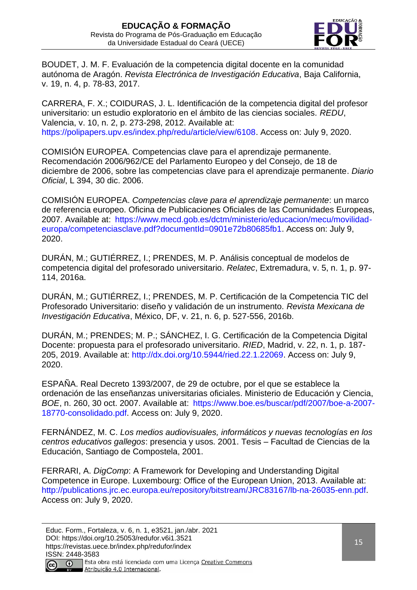

BOUDET, J. M. F. Evaluación de la competencia digital docente en la comunidad autónoma de Aragón. *Revista Electrónica de Investigación Educativa*, Baja California, v. 19, n. 4, p. 78-83, 2017.

CARRERA, F. X.; COIDURAS, J. L. Identificación de la competencia digital del profesor universitario: un estudio exploratorio en el ámbito de las ciencias sociales. *REDU*, Valencia, v. 10, n. 2, p. 273-298, 2012. Available at: [https://polipapers.upv.es/index.php/redu/article/view/6108.](https://polipapers.upv.es/index.php/redu/article/view/6108) Access on: July 9, 2020.

COMISIÓN EUROPEA. Competencias clave para el aprendizaje permanente. Recomendación 2006/962/CE del Parlamento Europeo y del Consejo, de 18 de diciembre de 2006, sobre las competencias clave para el aprendizaje permanente. *Diario Oficial*, L 394, 30 dic. 2006.

COMISIÓN EUROPEA. *Competencias clave para el aprendizaje permanente*: un marco de referencia europeo. Oficina de Publicaciones Oficiales de las Comunidades Europeas, 2007. Available at[:](https://www.mecd.gob.es/dctm/ministerio/educacion/mecu/movilidad-europa/competenciasclave.pdf?documentId=0901e72b80685fb1) [https://www.mecd.gob.es/dctm/ministerio/educacion/mecu/movilidad](https://www.mecd.gob.es/dctm/ministerio/educacion/mecu/movilidad-europa/competenciasclave.pdf?documentId=0901e72b80685fb1)[europa/competenciasclave.pdf?documentId=0901e72b80685fb1.](https://www.mecd.gob.es/dctm/ministerio/educacion/mecu/movilidad-europa/competenciasclave.pdf?documentId=0901e72b80685fb1) Access on: July 9, 2020.

DURÁN, M.; GUTIÉRREZ, I.; PRENDES, M. P. Análisis conceptual de modelos de competencia digital del profesorado universitario. *Relatec*, Extremadura, v. 5, n. 1, p. 97- 114, 2016a.

DURÁN, M.; GUTIÉRREZ, I.; PRENDES, M. P. Certificación de la Competencia TIC del Profesorado Universitario: diseño y validación de un instrumento. *Revista Mexicana de Investigación Educativa*, México, DF, v. 21, n. 6, p. 527-556, 2016b.

DURÁN, M.; PRENDES; M. P.; SÁNCHEZ, I. G. Certificación de la Competencia Digital Docente: propuesta para el profesorado universitario. *RIED*, Madrid, v. 22, n. 1, p. 187- 205, 2019. Available at: [http://dx.doi.org/10.5944/ried.22.1.22069.](http://dx.doi.org/10.5944/ried.22.1.22069) Access on: July 9, 2020.

ESPAÑA. Real Decreto 1393/2007, de 29 de octubre, por el que se establece la ordenación de las enseñanzas universitarias oficiales. Ministerio de Educación y Ciencia, *BOE*, n. 260, 30 oct. 2007. Available at[:](https://www.boe.es/buscar/pdf/2007/BOE-A-2007-18770-consolidado.pdf) [https://www.boe.es/buscar/pdf/2007/boe-a-2007-](https://www.boe.es/buscar/pdf/2007/BOE-A-2007-18770-consolidado.pdf) [18770-consolidado.pdf.](https://www.boe.es/buscar/pdf/2007/BOE-A-2007-18770-consolidado.pdf) Access on: July 9, 2020.

FERNÁNDEZ, M. C. *Los medios audiovisuales, informáticos y nuevas tecnologías en los centros educativos gallegos*: presencia y usos. 2001. Tesis – Facultad de Ciencias de la Educación, Santiago de Compostela, 2001.

FERRARI, A. *DigComp*: A Framework for Developing and Understanding Digital Competence in Europe. Luxembourg: Office of the European Union, 2013. Available at: [http://publications.jrc.ec.europa.eu/repository/bitstream/JRC83167/lb-na-26035-enn.pdf.](http://publications.jrc.ec.europa.eu/repository/bitstream/JRC83167/lb-na-26035-enn.pdf) Access on: July 9, 2020.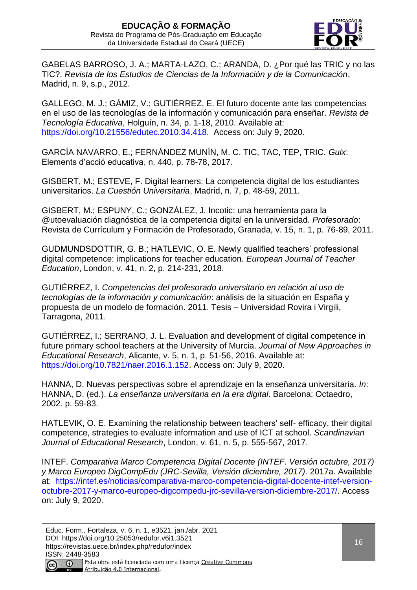

GABELAS BARROSO, J. A.; MARTA-LAZO, C.; ARANDA, D. ¿Por qué las TRIC y no las TIC?. *Revista de los Estudios de Ciencias de la Información y de la Comunicación*, Madrid, n. 9, s.p., 2012.

GALLEGO, M. J.; GÁMIZ, V.; GUTIÉRREZ, E. El futuro docente ante las competencias en el uso de las tecnologías de la información y comunicación para enseñar. *Revista de Tecnología Educativa*, Holguín, n. 34, p. 1-18, 2010. Available at: [https://doi.org/10.21556/edutec.2010.34.418.](https://doi.org/10.21556/edutec.2010.34.418) Access on: July 9, 2020.

GARCÍA NAVARRO, E.; FERNÁNDEZ MUNÍN, M. C. TIC, TAC, TEP, TRIC. *Guix*: Elements d'acció educativa, n. 440, p. 78-78, 2017.

GISBERT, M.; ESTEVE, F. Digital learners: La competencia digital de los estudiantes universitarios. *La Cuestión Universitaria*, Madrid, n. 7, p. 48-59, 2011.

GISBERT, M.; ESPUNY, C.; GONZÁLEZ, J. Incotic: una herramienta para la @utoevaluación diagnóstica de la competencia digital en la universidad. *Profesorado*: Revista de Currículum y Formación de Profesorado, Granada, v. 15, n. 1, p. 76-89, 2011.

GUDMUNDSDOTTIR, G. B.; HATLEVIC, O. E. Newly qualified teachers' professional digital competence: implications for teacher education. *European Journal of Teacher Education*, London, v. 41, n. 2, p. 214-231, 2018.

GUTIÉRREZ, I. *Competencias del profesorado universitario en relación al uso de tecnologías de la información y comunicación*: análisis de la situación en España y propuesta de un modelo de formación. 2011. Tesis – Universidad Rovira i Virgili, Tarragona, 2011.

GUTIÉRREZ, I.; SERRANO, J. L. Evaluation and development of digital competence in future primary school teachers at the University of Murcia. *Journal of New Approaches in Educational Research*, Alicante, v. 5, n. 1, p. 51-56, 2016. Available at: [https://doi.org/10.7821/naer.2016.1.152.](https://doi.org/10.7821/naer.2016.1.152) Access on: July 9, 2020.

HANNA, D. Nuevas perspectivas sobre el aprendizaje en la enseñanza universitaria. *In*: HANNA, D. (ed.). *La enseñanza universitaria en la era digital*. Barcelona: Octaedro, 2002. p. 59-83.

HATLEVIK, O. E. Examining the relationship between teachers' self- efficacy, their digital competence, strategies to evaluate information and use of ICT at school. *Scandinavian Journal of Educational Research*, London, v. 61, n. 5, p. 555-567, 2017.

INTEF. *Comparativa Marco Competencia Digital Docente (INTEF. Versión octubre, 2017) y Marco Europeo DigCompEdu (JRC-Sevilla, Versión diciembre, 2017)*. 2017a. Available at[:](https://intef.es/Noticias/comparativa-marco-competencia-digital-docente-intef-version-octubre-2017-y-marco-europeo-digcompedu-jrc-sevilla-version-diciembre-2017/) [https://intef.es/noticias/comparativa-marco-competencia-digital-docente-intef-version](https://intef.es/Noticias/comparativa-marco-competencia-digital-docente-intef-version-octubre-2017-y-marco-europeo-digcompedu-jrc-sevilla-version-diciembre-2017/)[octubre-2017-y-marco-europeo-digcompedu-jrc-sevilla-version-diciembre-2017/.](https://intef.es/Noticias/comparativa-marco-competencia-digital-docente-intef-version-octubre-2017-y-marco-europeo-digcompedu-jrc-sevilla-version-diciembre-2017/) Access on: July 9, 2020.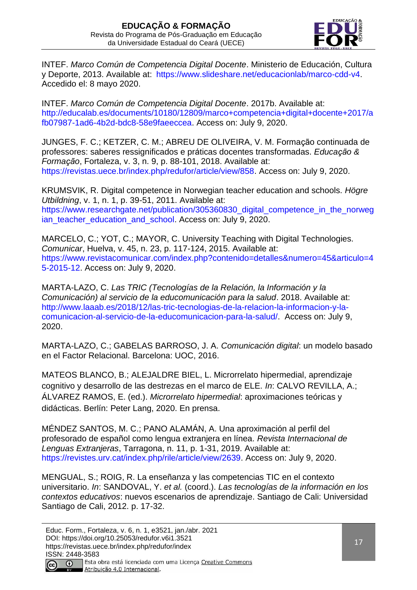

INTEF. *Marco Común de Competencia Digital Docente*. Ministerio de Educación, Cultura y Deporte, 2013. Available at[:](https://www.slideshare.net/educacionlab/marco-cdd-v4) [https://www.slideshare.net/educacionlab/marco-cdd-v4.](https://www.slideshare.net/educacionlab/marco-cdd-v4) Accedido el: 8 mayo 2020.

INTEF. *Marco Común de Competencia Digital Docente*. 2017b. Available at[:](http://educalab.es/documents/10180/12809/Marco+competencia+digital+docente+2017/afb07987-1ad6-4b2d-bdc8-58e9faeeccea) [http://educalab.es/documents/10180/12809/marco+competencia+digital+docente+2017/a](http://educalab.es/documents/10180/12809/Marco+competencia+digital+docente+2017/afb07987-1ad6-4b2d-bdc8-58e9faeeccea) [fb07987-1ad6-4b2d-bdc8-58e9faeeccea.](http://educalab.es/documents/10180/12809/Marco+competencia+digital+docente+2017/afb07987-1ad6-4b2d-bdc8-58e9faeeccea) Access on: July 9, 2020.

JUNGES, F. C.; KETZER, C. M.; ABREU DE OLIVEIRA, V. M. Formação continuada de professores: saberes ressignificados e práticas docentes transformadas. *Educação & Formação*, Fortaleza, v. 3, n. 9, p. 88-101, 2018. Available at: [https://revistas.uece.br/index.php/redufor/article/view/858.](https://revistas.uece.br/index.php/redufor/article/view/858) Access on: July 9, 2020.

KRUMSVIK, R. Digital competence in Norwegian teacher education and schools. *Högre Utbildning*, v. 1, n. 1, p. 39-51, 2011. Available at: [https://www.researchgate.net/publication/305360830\\_digital\\_competence\\_in\\_the\\_norweg](https://www.researchgate.net/publication/305360830_Digital_competence_in_the_Norwegian_teacher_education_and_school) [ian\\_teacher\\_education\\_and\\_school.](https://www.researchgate.net/publication/305360830_Digital_competence_in_the_Norwegian_teacher_education_and_school) Access on: July 9, 2020.

MARCELO, C.; YOT, C.; MAYOR, C. University Teaching with Digital Technologies. *Comunicar*, Huelva, v. 45, n. 23, p. 117-124, 2015. Available at: [https://www.revistacomunicar.com/index.php?contenido=detalles&numero=45&articulo=4](https://www.revistacomunicar.com/index.php?contenido=detalles&numero=45&articulo=45-2015-12) [5-2015-12.](https://www.revistacomunicar.com/index.php?contenido=detalles&numero=45&articulo=45-2015-12) Access on: July 9, 2020.

MARTA-LAZO, C. *Las TRIC (Tecnologías de la Relación, la Información y la Comunicación) al servicio de la educomunicación para la salud*. 2018. Available at: [http://www.laaab.es/2018/12/las-tric-tecnologias-de-la-relacion-la-informacion-y-la](http://www.laaab.es/2018/12/las-tric-tecnologias-de-la-relacion-la-informacion-y-la-comunicacion-al-servicio-de-la-educomunicacion-para-la-salud/)[comunicacion-al-servicio-de-la-educomunicacion-para-la-salud/.](http://www.laaab.es/2018/12/las-tric-tecnologias-de-la-relacion-la-informacion-y-la-comunicacion-al-servicio-de-la-educomunicacion-para-la-salud/) Access on: July 9, 2020.

MARTA-LAZO, C.; GABELAS BARROSO, J. A. *Comunicación digital*: un modelo basado en el Factor Relacional. Barcelona: UOC, 2016.

MATEOS BLANCO, B.; ALEJALDRE BIEL, L. Microrrelato hipermedial, aprendizaje cognitivo y desarrollo de las destrezas en el marco de ELE. *In*: CALVO REVILLA, A.; ÁLVAREZ RAMOS, E. (ed.). *Microrrelato hipermedial*: aproximaciones teóricas y didácticas. Berlín: Peter Lang, 2020. En prensa.

MÉNDEZ SANTOS, M. C.; PANO ALAMÁN, A. Una aproximación al perfil del profesorado de español como lengua extranjera en línea. *Revista Internacional de Lenguas Extranjeras*, Tarragona, n. 11, p. 1-31, 2019. Available at: [https://revistes.urv.cat/index.php/rile/article/view/2639.](https://revistes.urv.cat/index.php/rile/article/view/2639) Access on: July 9, 2020.

MENGUAL, S.; ROIG, R. La enseñanza y las competencias TIC en el contexto universitario. *In*: SANDOVAL, Y. *et al.* (coord.). *Las tecnologías de la información en los contextos educativos*: nuevos escenarios de aprendizaje. Santiago de Cali: Universidad Santiago de Cali, 2012. p. 17-32.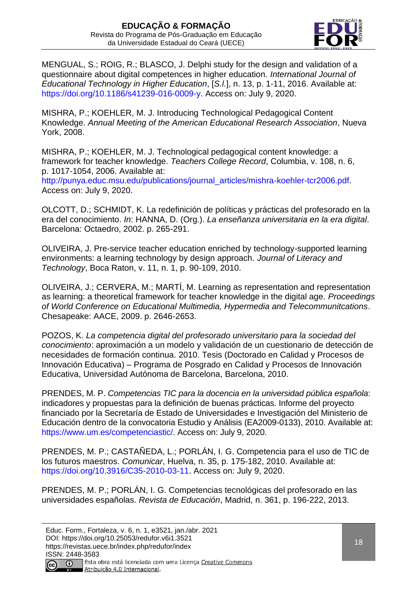

MENGUAL, S.; ROIG, R.; BLASCO, J. Delphi study for the design and validation of a questionnaire about digital competences in higher education. *International Journal of Educational Technology in Higher Education*, [*S.l.*], n. 13, p. 1-11, 2016. Available at: [https://doi.org/10.1186/s41239-016-0009-y.](https://doi.org/10.1186/s41239-016-0009-y) Access on: July 9, 2020.

MISHRA, P.; KOEHLER, M. J. Introducing Technological Pedagogical Content Knowledge. *Annual Meeting of the American Educational Research Association*, Nueva York, 2008.

MISHRA, P.; KOEHLER, M. J. Technological pedagogical content knowledge: a framework for teacher knowledge. *Teachers College Record*, Columbia, v. 108, n. 6, p. 1017-1054, 2006. Available at[:](http://punya.educ.msu.edu/publications/journal_articles/mishra-koehler-%20tcr2006.pdf)

[http://punya.educ.msu.edu/publications/journal\\_articles/mishra-koehler-tcr2006.pdf.](http://punya.educ.msu.edu/publications/journal_articles/mishra-koehler-tcr2006.pdf) Access on: July 9, 2020.

OLCOTT, D.; SCHMIDT, K. La redefinición de políticas y prácticas del profesorado en la era del conocimiento. *In*: HANNA, D. (Org.). *La enseñanza universitaria en la era digital*. Barcelona: Octaedro, 2002. p. 265-291.

OLIVEIRA, J. Pre-service teacher education enriched by technology-supported learning environments: a learning technology by design approach. *Journal of Literacy and Technology*, Boca Raton, v. 11, n. 1, p. 90-109, 2010.

OLIVEIRA, J.; CERVERA, M.; MARTÍ, M. Learning as representation and representation as learning: a theoretical framework for teacher knowledge in the digital age. *Proceedings of World Conference on Educational Multimedia, Hypermedia and Telecommunitcations*. Chesapeake: AACE, 2009. p. 2646-2653.

POZOS, K. *La competencia digital del profesorado universitario para la sociedad del conocimiento*: aproximación a un modelo y validación de un cuestionario de detección de necesidades de formación continua. 2010. Tesis (Doctorado en Calidad y Procesos de Innovación Educativa) – Programa de Posgrado en Calidad y Procesos de Innovación Educativa, Universidad Autónoma de Barcelona, Barcelona, 2010.

PRENDES, M. P. *Competencias TIC para la docencia en la universidad pública española*: indicadores y propuestas para la definición de buenas prácticas. Informe del proyecto financiado por la Secretaría de Estado de Universidades e Investigación del Ministerio de Educación dentro de la convocatoria Estudio y Análisis (EA2009-0133), 2010. Available at: [https://www.um.es/competenciastic/.](https://www.um.es/competenciastic/) Access on: July 9, 2020.

PRENDES, M. P.; CASTAÑEDA, L.; PORLÁN, I. G. Competencia para el uso de TIC de los futuros maestros. *Comunicar*, Huelva, n. 35, p. 175-182, 2010. Available at[:](https://doi.org/10.3916/C35-2010-03-11) [https://doi.org/10.3916/C35-2010-03-11.](https://doi.org/10.3916/C35-2010-03-11) Access on: July 9, 2020.

PRENDES, M. P.; PORLÁN, I. G. Competencias tecnológicas del profesorado en las universidades españolas. *Revista de Educación*, Madrid, n. 361, p. 196-222, 2013.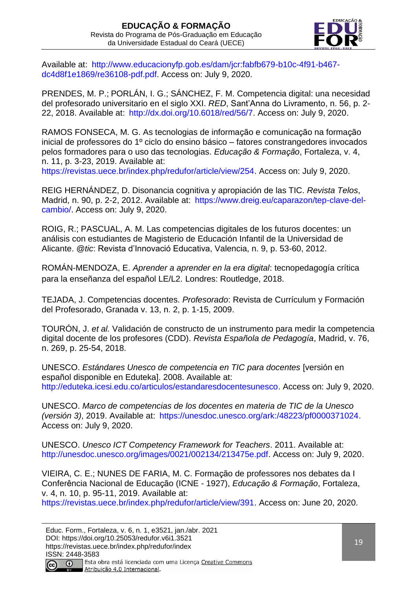

Available at[:](http://www.educacionyfp.gob.es/dam/jcr:fabfb679-b10c-4f91-b467-dc4d8f1e1869/re36108-pdf.pdf) [http://www.educacionyfp.gob.es/dam/jcr:fabfb679-b10c-4f91-b467](http://www.educacionyfp.gob.es/dam/jcr:fabfb679-b10c-4f91-b467-dc4d8f1e1869/re36108-pdf.pdf) [dc4d8f1e1869/re36108-pdf.pdf.](http://www.educacionyfp.gob.es/dam/jcr:fabfb679-b10c-4f91-b467-dc4d8f1e1869/re36108-pdf.pdf) Access on: July 9, 2020.

PRENDES, M. P.; PORLÁN, I. G.; SÁNCHEZ, F. M. Competencia digital: una necesidad del profesorado universitario en el siglo XXI. *RED*, Sant'Anna do Livramento, n. 56, p. 2- 22, 2018. Available at[:](http://dx.doi.org/10.6018/red/56/7) [http://dx.doi.org/10.6018/red/56/7.](http://dx.doi.org/10.6018/red/56/7) Access on: July 9, 2020.

RAMOS FONSECA, M. G. As tecnologias de informação e comunicação na formação inicial de professores do 1º ciclo do ensino básico – fatores constrangedores invocados pelos formadores para o uso das tecnologias. *Educação & Formação*, Fortaleza, v. 4, n. 11, p. 3-23, 2019. Available at:

[https://revistas.uece.br/index.php/redufor/article/view/254.](https://revistas.uece.br/index.php/redufor/article/view/254) Access on: July 9, 2020.

REIG HERNÁNDEZ, D. Disonancia cognitiva y apropiación de las TIC. *Revista Telos*, Madrid, n. 90, p. 2-2, 2012. Available at[:](https://www.dreig.eu/caparazon/tep-clave-del-cambio/) [https://www.dreig.eu/caparazon/tep-clave-del](https://www.dreig.eu/caparazon/tep-clave-del-cambio/)[cambio/.](https://www.dreig.eu/caparazon/tep-clave-del-cambio/) Access on: July 9, 2020.

ROIG, R.; PASCUAL, A. M. Las competencias digitales de los futuros docentes: un análisis con estudiantes de Magisterio de Educación Infantil de la Universidad de Alicante. *@tic*: Revista d'Innovació Educativa, Valencia, n. 9, p. 53-60, 2012.

ROMÁN-MENDOZA, E. *Aprender a aprender en la era digital*: tecnopedagogía crítica para la enseñanza del español LE/L2. Londres: Routledge, 2018.

TEJADA, J. Competencias docentes. *Profesorado*: Revista de Currículum y Formación del Profesorado, Granada v. 13, n. 2, p. 1-15, 2009.

TOURÓN, J. *et al.* Validación de constructo de un instrumento para medir la competencia digital docente de los profesores (CDD). *Revista Española de Pedagogía*, Madrid, v. 76, n. 269, p. 25-54, 2018.

UNESCO. *Estándares Unesco de competencia en TIC para docentes* [versión en español disponible en Eduteka]. 2008. Available at[:](http://eduteka.icesi.edu.co/articulos/EstandaresDocentesUnesco) [http://eduteka.icesi.edu.co/articulos/estandaresdocentesunesco.](http://eduteka.icesi.edu.co/articulos/estandaresdocentesunesco) Access on: July 9, 2020.

UNESCO. *Marco de competencias de los docentes en materia de TIC de la Unesco (versión 3)*, 2019. Available at[:](https://unesdoc.unesco.org/ark:/48223/pf0000371024) [https://unesdoc.unesco.org/ark:/48223/pf0000371024.](https://unesdoc.unesco.org/ark:/48223/pf0000371024) Access on: July 9, 2020.

UNESCO. *Unesco ICT Competency Framework for Teachers*. 2011. Available at: [http://unesdoc.unesco.org/images/0021/002134/213475e.pdf.](http://unesdoc.unesco.org/images/0021/002134/213475e.pdf) Access on: July 9, 2020.

VIEIRA, C. E.; NUNES DE FARIA, M. C. Formação de professores nos debates da I Conferência Nacional de Educação (ICNE - 1927), *Educação & Formação*, Fortaleza, v. 4, n. 10, p. 95-11, 2019. Available at:

[https://revistas.uece.br/index.php/redufor/article/view/391.](https://revistas.uece.br/index.php/redufor/article/view/391) Access on: June 20, 2020.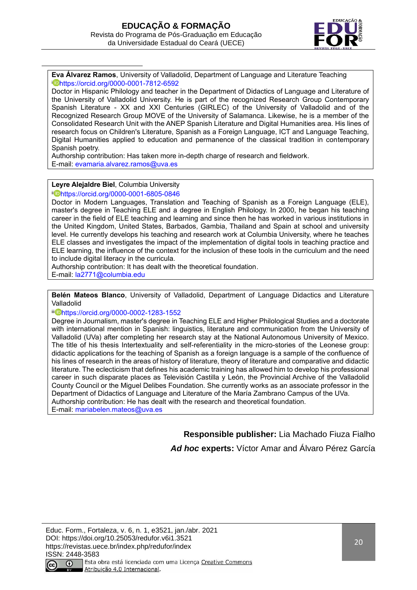

**Eva Álvarez Ramos**, University of Valladolid, Department of Language and Literature Teaching <sup>i</sup> <https://orcid.org/0000-0001-7812-6592>

Doctor in Hispanic Philology and teacher in the Department of Didactics of Language and Literature of the University of Valladolid University. He is part of the recognized Research Group Contemporary Spanish Literature - XX and XXI Centuries (GIRLEC) of the University of Valladolid and of the Recognized Research Group MOVE of the University of Salamanca. Likewise, he is a member of the Consolidated Research Unit with the ANEP Spanish Literature and Digital Humanities area. His lines of research focus on Children's Literature, Spanish as a Foreign Language, ICT and Language Teaching, Digital Humanities applied to education and permanence of the classical tradition in contemporary Spanish poetry.

Authorship contribution: Has taken more in-depth charge of research and fieldwork. E-mail: [evamaria.alvarez.ramos@uva.es](mailto:evamaria.alvarez.ramos@uva.es)

**Leyre Alejaldre Biel**, Columbia University

ii <https://orcid.org/0000-0001-6805-0846>

Doctor in Modern Languages, Translation and Teaching of Spanish as a Foreign Language (ELE), master's degree in Teaching ELE and a degree in English Philology. In 2000, he began his teaching career in the field of ELE teaching and learning and since then he has worked in various institutions in the United Kingdom, United States, Barbados, Gambia, Thailand and Spain at school and university level. He currently develops his teaching and research work at Columbia University, where he teaches ELE classes and investigates the impact of the implementation of digital tools in teaching practice and ELE learning, the influence of the context for the inclusion of these tools in the curriculum and the need to include digital literacy in the curricula.

Authorship contribution: It has dealt with the theoretical foundation.

E-mail: [la2771@columbia.edu](mailto:la2771@columbia.edu)

**Belén Mateos Blanco**, University of Valladolid, Department of Language Didactics and Literature Valladolid

#### iii <https://orcid.org/0000-0002-1283-1552>

Degree in Journalism, master's degree in Teaching ELE and Higher Philological Studies and a doctorate with international mention in Spanish: linguistics, literature and communication from the University of Valladolid (UVa) after completing her research stay at the National Autonomous University of Mexico. The title of his thesis Intertextuality and self-referentiality in the micro-stories of the Leonese group: didactic applications for the teaching of Spanish as a foreign language is a sample of the confluence of his lines of research in the areas of history of literature, theory of literature and comparative and didactic literature. The eclecticism that defines his academic training has allowed him to develop his professional career in such disparate places as Televisión Castilla y León, the Provincial Archive of the Valladolid County Council or the Miguel Delibes Foundation. She currently works as an associate professor in the Department of Didactics of Language and Literature of the María Zambrano Campus of the UVa. Authorship contribution: He has dealt with the research and theoretical foundation. E-mail: [mariabelen.mateos@uva.es](mailto:mariabelen.mateos@uva.es)

> **Responsible publisher:** Lia Machado Fiuza Fialho *Ad hoc* **experts:** Víctor Amar and Álvaro Pérez García